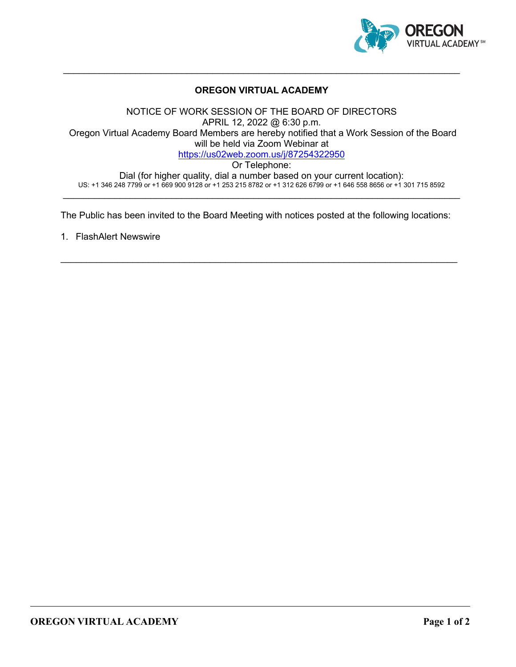

### **OREGON VIRTUAL ACADEMY**

\_\_\_\_\_\_\_\_\_\_\_\_\_\_\_\_\_\_\_\_\_\_\_\_\_\_\_\_\_\_\_\_\_\_\_\_\_\_\_\_\_\_\_\_\_\_\_\_\_\_\_\_\_\_\_\_\_\_\_\_\_\_\_\_\_\_\_\_\_\_\_\_\_\_\_\_\_

NOTICE OF WORK SESSION OF THE BOARD OF DIRECTORS APRIL 12, 2022 @ 6:30 p.m. Oregon Virtual Academy Board Members are hereby notified that a Work Session of the Board will be held via Zoom Webinar at <https://us02web.zoom.us/j/87254322950> Or Telephone: Dial (for higher quality, dial a number based on your current location): US: +1 346 248 7799 or +1 669 900 9128 or +1 253 215 8782 or +1 312 626 6799 or +1 646 558 8656 or +1 301 715 8592

The Public has been invited to the Board Meeting with notices posted at the following locations:

\_\_\_\_\_\_\_\_\_\_\_\_\_\_\_\_\_\_\_\_\_\_\_\_\_\_\_\_\_\_\_\_\_\_\_\_\_\_\_\_\_\_\_\_\_\_\_\_\_\_\_\_\_\_\_\_\_\_\_\_\_\_\_\_\_\_\_\_\_\_\_\_\_\_\_\_\_

 $\_$  , and the set of the set of the set of the set of the set of the set of the set of the set of the set of the set of the set of the set of the set of the set of the set of the set of the set of the set of the set of th

1. FlashAlert Newswire